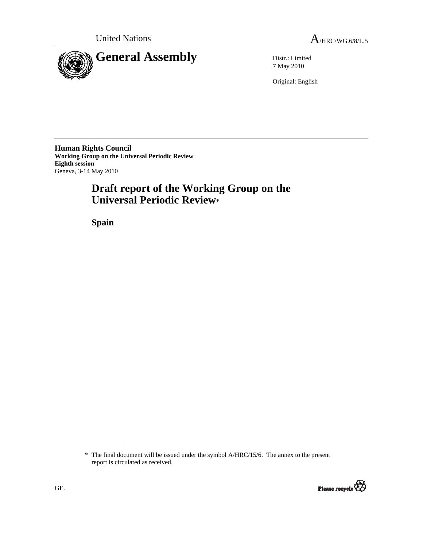

7 May 2010

Original: English

**Human Rights Council Working Group on the Universal Periodic Review Eighth session**  Geneva, 3-14 May 2010

# **Draft report of the Working Group on the Universal Periodic Review\***

 **Spain** 

<sup>\*</sup> The final document will be issued under the symbol A/HRC/15/6. The annex to the present report is circulated as received.

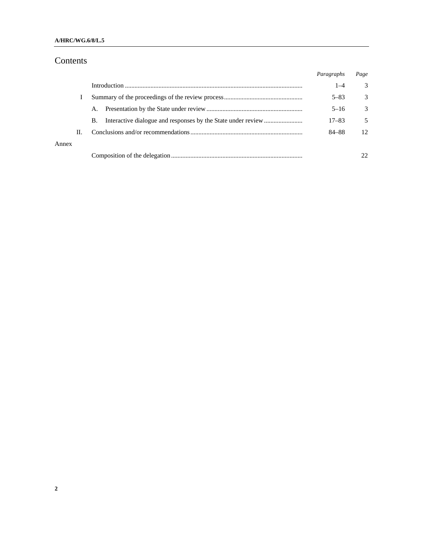### **A/HRC/WG.6/8/L.5**

# Contents

|       |   |    | Paragraphs | Page          |
|-------|---|----|------------|---------------|
|       |   |    | $1 - 4$    | 3             |
|       |   |    | $5 - 83$   | 3             |
|       |   | А. | $5 - 16$   | $\mathcal{Z}$ |
|       |   | B. | $17 - 83$  | 5             |
|       | П |    | 84-88      | 12            |
| Annex |   |    |            |               |
|       |   |    |            | 22            |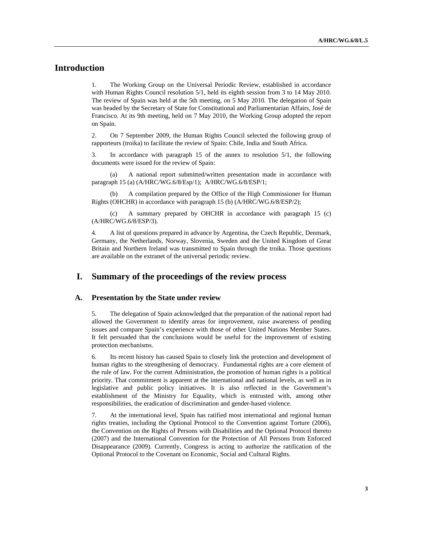# **Introduction**

1. The Working Group on the Universal Periodic Review, established in accordance with Human Rights Council resolution  $5/1$ , held its eighth session from 3 to 14 May 2010. The review of Spain was held at the 5th meeting, on 5 May 2010. The delegation of Spain was headed by the Secretary of State for Constitutional and Parliamentarian Affairs, José de Francisco. At its 9th meeting, held on 7 May 2010, the Working Group adopted the report on Spain.

2. On 7 September 2009, the Human Rights Council selected the following group of rapporteurs (troika) to facilitate the review of Spain: Chile, India and South Africa.

3. In accordance with paragraph 15 of the annex to resolution 5/1, the following documents were issued for the review of Spain:

A national report submitted/written presentation made in accordance with paragraph 15 (a) (A/HRC/WG.6/8/Esp/1); A/HRC/WG.6/8/ESP/1;

 (b) A compilation prepared by the Office of the High Commissioner for Human Rights (OHCHR) in accordance with paragraph 15 (b) (A/HRC/WG.6/8/ESP/2);

 (c) A summary prepared by OHCHR in accordance with paragraph 15 (c) (A/HRC/WG.6/8/ESP/3).

4. A list of questions prepared in advance by Argentina, the Czech Republic, Denmark, Germany, the Netherlands, Norway, Slovenia, Sweden and the United Kingdom of Great Britain and Northern Ireland was transmitted to Spain through the troika. Those questions are available on the extranet of the universal periodic review.

# **I. Summary of the proceedings of the review process**

#### **A. Presentation by the State under review**

5. The delegation of Spain acknowledged that the preparation of the national report had allowed the Government to identify areas for improvement, raise awareness of pending issues and compare Spain's experience with those of other United Nations Member States. It felt persuaded that the conclusions would be useful for the improvement of existing protection mechanisms.

6. Its recent history has caused Spain to closely link the protection and development of human rights to the strengthening of democracy. Fundamental rights are a core element of the rule of law. For the current Administration, the promotion of human rights is a political priority. That commitment is apparent at the international and national levels, as well as in legislative and public policy initiatives. It is also reflected in the Government's establishment of the Ministry for Equality, which is entrusted with, among other responsibilities, the eradication of discrimination and gender-based violence.

7. At the international level, Spain has ratified most international and regional human rights treaties, including the Optional Protocol to the Convention against Torture (2006), the Convention on the Rights of Persons with Disabilities and the Optional Protocol thereto (2007) and the International Convention for the Protection of All Persons from Enforced Disappearance (2009). Currently, Congress is acting to authorize the ratification of the Optional Protocol to the Covenant on Economic, Social and Cultural Rights.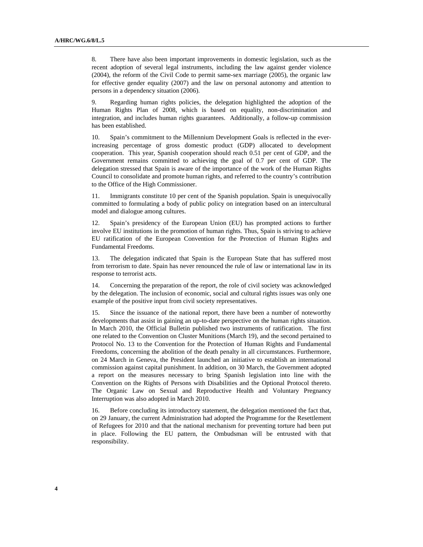8. There have also been important improvements in domestic legislation, such as the recent adoption of several legal instruments, including the law against gender violence (2004), the reform of the Civil Code to permit same-sex marriage (2005), the organic law for effective gender equality (2007) and the law on personal autonomy and attention to persons in a dependency situation (2006).

9. Regarding human rights policies, the delegation highlighted the adoption of the Human Rights Plan of 2008, which is based on equality, non-discrimination and integration, and includes human rights guarantees. Additionally, a follow-up commission has been established.

10. Spain's commitment to the Millennium Development Goals is reflected in the everincreasing percentage of gross domestic product (GDP) allocated to development cooperation. This year, Spanish cooperation should reach 0.51 per cent of GDP, and the Government remains committed to achieving the goal of 0.7 per cent of GDP. The delegation stressed that Spain is aware of the importance of the work of the Human Rights Council to consolidate and promote human rights, and referred to the country's contribution to the Office of the High Commissioner.

11. Immigrants constitute 10 per cent of the Spanish population. Spain is unequivocally committed to formulating a body of public policy on integration based on an intercultural model and dialogue among cultures.

12. Spain's presidency of the European Union (EU) has prompted actions to further involve EU institutions in the promotion of human rights. Thus, Spain is striving to achieve EU ratification of the European Convention for the Protection of Human Rights and Fundamental Freedoms.

13. The delegation indicated that Spain is the European State that has suffered most from terrorism to date. Spain has never renounced the rule of law or international law in its response to terrorist acts.

14. Concerning the preparation of the report, the role of civil society was acknowledged by the delegation. The inclusion of economic, social and cultural rights issues was only one example of the positive input from civil society representatives.

15. Since the issuance of the national report, there have been a number of noteworthy developments that assist in gaining an up-to-date perspective on the human rights situation. In March 2010, the Official Bulletin published two instruments of ratification. The first one related to the Convention on Cluster Munitions (March 19), and the second pertained to Protocol No. 13 to the Convention for the Protection of Human Rights and Fundamental Freedoms, concerning the abolition of the death penalty in all circumstances. Furthermore, on 24 March in Geneva, the President launched an initiative to establish an international commission against capital punishment. In addition, on 30 March, the Government adopted a report on the measures necessary to bring Spanish legislation into line with the Convention on the Rights of Persons with Disabilities and the Optional Protocol thereto. The Organic Law on Sexual and Reproductive Health and Voluntary Pregnancy Interruption was also adopted in March 2010.

16. Before concluding its introductory statement, the delegation mentioned the fact that, on 29 January, the current Administration had adopted the Programme for the Resettlement of Refugees for 2010 and that the national mechanism for preventing torture had been put in place. Following the EU pattern, the Ombudsman will be entrusted with that responsibility.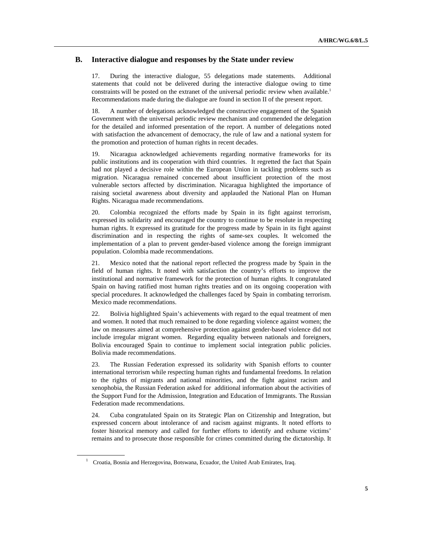#### **B. Interactive dialogue and responses by the State under review**

17. During the interactive dialogue, 55 delegations made statements. Additional statements that could not be delivered during the interactive dialogue owing to time constraints will be posted on the extranet of the universal periodic review when available.<sup>1</sup> Recommendations made during the dialogue are found in section II of the present report.

18. A number of delegations acknowledged the constructive engagement of the Spanish Government with the universal periodic review mechanism and commended the delegation for the detailed and informed presentation of the report. A number of delegations noted with satisfaction the advancement of democracy, the rule of law and a national system for the promotion and protection of human rights in recent decades.

19. Nicaragua acknowledged achievements regarding normative frameworks for its public institutions and its cooperation with third countries. It regretted the fact that Spain had not played a decisive role within the European Union in tackling problems such as migration. Nicaragua remained concerned about insufficient protection of the most vulnerable sectors affected by discrimination. Nicaragua highlighted the importance of raising societal awareness about diversity and applauded the National Plan on Human Rights. Nicaragua made recommendations.

20. Colombia recognized the efforts made by Spain in its fight against terrorism, expressed its solidarity and encouraged the country to continue to be resolute in respecting human rights. It expressed its gratitude for the progress made by Spain in its fight against discrimination and in respecting the rights of same-sex couples. It welcomed the implementation of a plan to prevent gender-based violence among the foreign immigrant population. Colombia made recommendations.

21. Mexico noted that the national report reflected the progress made by Spain in the field of human rights. It noted with satisfaction the country's efforts to improve the institutional and normative framework for the protection of human rights. It congratulated Spain on having ratified most human rights treaties and on its ongoing cooperation with special procedures. It acknowledged the challenges faced by Spain in combating terrorism. Mexico made recommendations.

22. Bolivia highlighted Spain's achievements with regard to the equal treatment of men and women. It noted that much remained to be done regarding violence against women; the law on measures aimed at comprehensive protection against gender-based violence did not include irregular migrant women. Regarding equality between nationals and foreigners, Bolivia encouraged Spain to continue to implement social integration public policies. Bolivia made recommendations.

23. The Russian Federation expressed its solidarity with Spanish efforts to counter international terrorism while respecting human rights and fundamental freedoms. In relation to the rights of migrants and national minorities, and the fight against racism and xenophobia, the Russian Federation asked for additional information about the activities of the Support Fund for the Admission, Integration and Education of Immigrants. The Russian Federation made recommendations.

24. Cuba congratulated Spain on its Strategic Plan on Citizenship and Integration, but expressed concern about intolerance of and racism against migrants. It noted efforts to foster historical memory and called for further efforts to identify and exhume victims' remains and to prosecute those responsible for crimes committed during the dictatorship. It

<sup>&</sup>lt;sup>1</sup> Croatia, Bosnia and Herzegovina, Botswana, Ecuador, the United Arab Emirates, Iraq.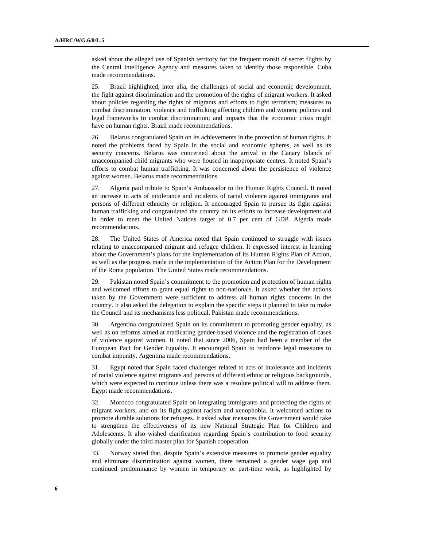asked about the alleged use of Spanish territory for the frequent transit of secret flights by the Central Intelligence Agency and measures taken to identify those responsible. Cuba made recommendations.

25. Brazil highlighted, inter alia, the challenges of social and economic development, the fight against discrimination and the promotion of the rights of migrant workers. It asked about policies regarding the rights of migrants and efforts to fight terrorism; measures to combat discrimination, violence and trafficking affecting children and women; policies and legal frameworks to combat discrimination; and impacts that the economic crisis might have on human rights. Brazil made recommendations.

26. Belarus congratulated Spain on its achievements in the protection of human rights. It noted the problems faced by Spain in the social and economic spheres, as well as its security concerns. Belarus was concerned about the arrival in the Canary Islands of unaccompanied child migrants who were housed in inappropriate centres. It noted Spain's efforts to combat human trafficking. It was concerned about the persistence of violence against women. Belarus made recommendations.

27. Algeria paid tribute to Spain's Ambassador to the Human Rights Council. It noted an increase in acts of intolerance and incidents of racial violence against immigrants and persons of different ethnicity or religion. It encouraged Spain to pursue its fight against human trafficking and congratulated the country on its efforts to increase development aid in order to meet the United Nations target of 0.7 per cent of GDP. Algeria made recommendations.

28. The United States of America noted that Spain continued to struggle with issues relating to unaccompanied migrant and refugee children. It expressed interest in learning about the Government's plans for the implementation of its Human Rights Plan of Action, as well as the progress made in the implementation of the Action Plan for the Development of the Roma population. The United States made recommendations.

29. Pakistan noted Spain's commitment to the promotion and protection of human rights and welcomed efforts to grant equal rights to non-nationals. It asked whether the actions taken by the Government were sufficient to address all human rights concerns in the country. It also asked the delegation to explain the specific steps it planned to take to make the Council and its mechanisms less political. Pakistan made recommendations.

30. Argentina congratulated Spain on its commitment to promoting gender equality, as well as on reforms aimed at eradicating gender-based violence and the registration of cases of violence against women. It noted that since 2006, Spain had been a member of the European Pact for Gender Equality. It encouraged Spain to reinforce legal measures to combat impunity. Argentina made recommendations.

31. Egypt noted that Spain faced challenges related to acts of intolerance and incidents of racial violence against migrants and persons of different ethnic or religious backgrounds, which were expected to continue unless there was a resolute political will to address them. Egypt made recommendations.

32. Morocco congratulated Spain on integrating immigrants and protecting the rights of migrant workers, and on its fight against racism and xenophobia. It welcomed actions to promote durable solutions for refugees. It asked what measures the Government would take to strengthen the effectiveness of its new National Strategic Plan for Children and Adolescents. It also wished clarification regarding Spain's contribution to food security globally under the third master plan for Spanish cooperation.

33. Norway stated that, despite Spain's extensive measures to promote gender equality and eliminate discrimination against women, there remained a gender wage gap and continued predominance by women in temporary or part-time work, as highlighted by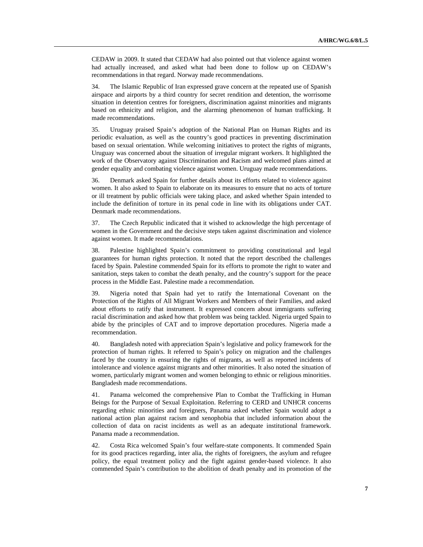CEDAW in 2009. It stated that CEDAW had also pointed out that violence against women had actually increased, and asked what had been done to follow up on CEDAW's recommendations in that regard. Norway made recommendations.

34. The Islamic Republic of Iran expressed grave concern at the repeated use of Spanish airspace and airports by a third country for secret rendition and detention, the worrisome situation in detention centres for foreigners, discrimination against minorities and migrants based on ethnicity and religion, and the alarming phenomenon of human trafficking. It made recommendations.

35. Uruguay praised Spain's adoption of the National Plan on Human Rights and its periodic evaluation, as well as the country's good practices in preventing discrimination based on sexual orientation. While welcoming initiatives to protect the rights of migrants, Uruguay was concerned about the situation of irregular migrant workers. It highlighted the work of the Observatory against Discrimination and Racism and welcomed plans aimed at gender equality and combating violence against women. Uruguay made recommendations.

36. Denmark asked Spain for further details about its efforts related to violence against women. It also asked to Spain to elaborate on its measures to ensure that no acts of torture or ill treatment by public officials were taking place, and asked whether Spain intended to include the definition of torture in its penal code in line with its obligations under CAT. Denmark made recommendations.

37. The Czech Republic indicated that it wished to acknowledge the high percentage of women in the Government and the decisive steps taken against discrimination and violence against women. It made recommendations.

38. Palestine highlighted Spain's commitment to providing constitutional and legal guarantees for human rights protection. It noted that the report described the challenges faced by Spain. Palestine commended Spain for its efforts to promote the right to water and sanitation, steps taken to combat the death penalty, and the country's support for the peace process in the Middle East. Palestine made a recommendation.

39. Nigeria noted that Spain had yet to ratify the International Covenant on the Protection of the Rights of All Migrant Workers and Members of their Families, and asked about efforts to ratify that instrument. It expressed concern about immigrants suffering racial discrimination and asked how that problem was being tackled. Nigeria urged Spain to abide by the principles of CAT and to improve deportation procedures. Nigeria made a recommendation.

40. Bangladesh noted with appreciation Spain's legislative and policy framework for the protection of human rights. It referred to Spain's policy on migration and the challenges faced by the country in ensuring the rights of migrants, as well as reported incidents of intolerance and violence against migrants and other minorities. It also noted the situation of women, particularly migrant women and women belonging to ethnic or religious minorities. Bangladesh made recommendations.

41. Panama welcomed the comprehensive Plan to Combat the Trafficking in Human Beings for the Purpose of Sexual Exploitation. Referring to CERD and UNHCR concerns regarding ethnic minorities and foreigners, Panama asked whether Spain would adopt a national action plan against racism and xenophobia that included information about the collection of data on racist incidents as well as an adequate institutional framework. Panama made a recommendation.

42. Costa Rica welcomed Spain's four welfare-state components. It commended Spain for its good practices regarding, inter alia, the rights of foreigners, the asylum and refugee policy, the equal treatment policy and the fight against gender-based violence. It also commended Spain's contribution to the abolition of death penalty and its promotion of the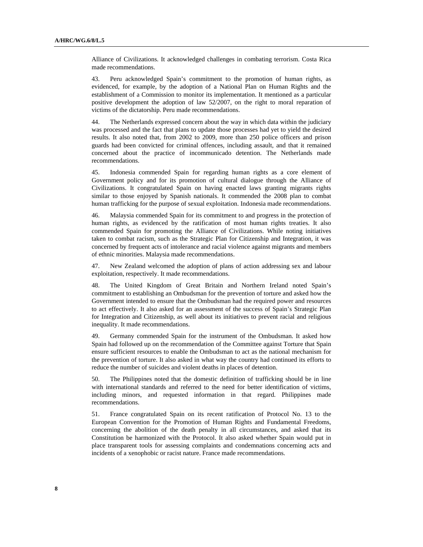Alliance of Civilizations. It acknowledged challenges in combating terrorism. Costa Rica made recommendations.

43. Peru acknowledged Spain's commitment to the promotion of human rights, as evidenced, for example, by the adoption of a National Plan on Human Rights and the establishment of a Commission to monitor its implementation. It mentioned as a particular positive development the adoption of law 52/2007, on the right to moral reparation of victims of the dictatorship. Peru made recommendations.

44. The Netherlands expressed concern about the way in which data within the judiciary was processed and the fact that plans to update those processes had yet to yield the desired results. It also noted that, from 2002 to 2009, more than 250 police officers and prison guards had been convicted for criminal offences, including assault, and that it remained concerned about the practice of incommunicado detention. The Netherlands made recommendations.

45. Indonesia commended Spain for regarding human rights as a core element of Government policy and for its promotion of cultural dialogue through the Alliance of Civilizations. It congratulated Spain on having enacted laws granting migrants rights similar to those enjoyed by Spanish nationals. It commended the 2008 plan to combat human trafficking for the purpose of sexual exploitation. Indonesia made recommendations.

46. Malaysia commended Spain for its commitment to and progress in the protection of human rights, as evidenced by the ratification of most human rights treaties. It also commended Spain for promoting the Alliance of Civilizations. While noting initiatives taken to combat racism, such as the Strategic Plan for Citizenship and Integration, it was concerned by frequent acts of intolerance and racial violence against migrants and members of ethnic minorities. Malaysia made recommendations.

47. New Zealand welcomed the adoption of plans of action addressing sex and labour exploitation, respectively. It made recommendations.

48. The United Kingdom of Great Britain and Northern Ireland noted Spain's commitment to establishing an Ombudsman for the prevention of torture and asked how the Government intended to ensure that the Ombudsman had the required power and resources to act effectively. It also asked for an assessment of the success of Spain's Strategic Plan for Integration and Citizenship, as well about its initiatives to prevent racial and religious inequality. It made recommendations.

49. Germany commended Spain for the instrument of the Ombudsman. It asked how Spain had followed up on the recommendation of the Committee against Torture that Spain ensure sufficient resources to enable the Ombudsman to act as the national mechanism for the prevention of torture. It also asked in what way the country had continued its efforts to reduce the number of suicides and violent deaths in places of detention.

50. The Philippines noted that the domestic definition of trafficking should be in line with international standards and referred to the need for better identification of victims, including minors, and requested information in that regard. Philippines made recommendations.

51. France congratulated Spain on its recent ratification of Protocol No. 13 to the European Convention for the Promotion of Human Rights and Fundamental Freedoms, concerning the abolition of the death penalty in all circumstances, and asked that its Constitution be harmonized with the Protocol. It also asked whether Spain would put in place transparent tools for assessing complaints and condemnations concerning acts and incidents of a xenophobic or racist nature. France made recommendations.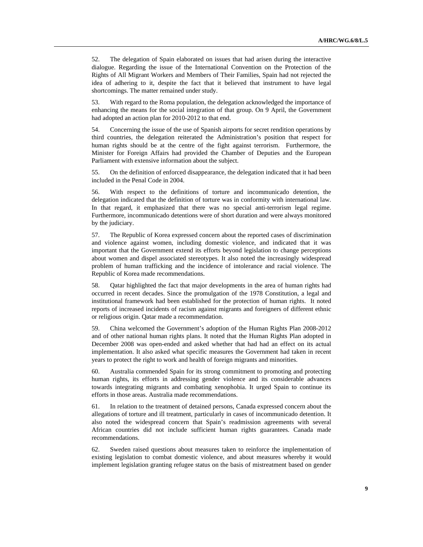52. The delegation of Spain elaborated on issues that had arisen during the interactive dialogue. Regarding the issue of the International Convention on the Protection of the Rights of All Migrant Workers and Members of Their Families, Spain had not rejected the idea of adhering to it, despite the fact that it believed that instrument to have legal shortcomings. The matter remained under study.

53. With regard to the Roma population, the delegation acknowledged the importance of enhancing the means for the social integration of that group. On 9 April, the Government had adopted an action plan for 2010-2012 to that end.

54. Concerning the issue of the use of Spanish airports for secret rendition operations by third countries, the delegation reiterated the Administration's position that respect for human rights should be at the centre of the fight against terrorism. Furthermore, the Minister for Foreign Affairs had provided the Chamber of Deputies and the European Parliament with extensive information about the subject.

55. On the definition of enforced disappearance, the delegation indicated that it had been included in the Penal Code in 2004.

56. With respect to the definitions of torture and incommunicado detention, the delegation indicated that the definition of torture was in conformity with international law. In that regard, it emphasized that there was no special anti-terrorism legal regime. Furthermore, incommunicado detentions were of short duration and were always monitored by the judiciary.

57. The Republic of Korea expressed concern about the reported cases of discrimination and violence against women, including domestic violence, and indicated that it was important that the Government extend its efforts beyond legislation to change perceptions about women and dispel associated stereotypes. It also noted the increasingly widespread problem of human trafficking and the incidence of intolerance and racial violence. The Republic of Korea made recommendations.

58. Qatar highlighted the fact that major developments in the area of human rights had occurred in recent decades. Since the promulgation of the 1978 Constitution, a legal and institutional framework had been established for the protection of human rights. It noted reports of increased incidents of racism against migrants and foreigners of different ethnic or religious origin. Qatar made a recommendation.

59. China welcomed the Government's adoption of the Human Rights Plan 2008-2012 and of other national human rights plans. It noted that the Human Rights Plan adopted in December 2008 was open-ended and asked whether that had had an effect on its actual implementation. It also asked what specific measures the Government had taken in recent years to protect the right to work and health of foreign migrants and minorities.

60. Australia commended Spain for its strong commitment to promoting and protecting human rights, its efforts in addressing gender violence and its considerable advances towards integrating migrants and combating xenophobia. It urged Spain to continue its efforts in those areas. Australia made recommendations.

61. In relation to the treatment of detained persons, Canada expressed concern about the allegations of torture and ill treatment, particularly in cases of incommunicado detention. It also noted the widespread concern that Spain's readmission agreements with several African countries did not include sufficient human rights guarantees. Canada made recommendations.

62. Sweden raised questions about measures taken to reinforce the implementation of existing legislation to combat domestic violence, and about measures whereby it would implement legislation granting refugee status on the basis of mistreatment based on gender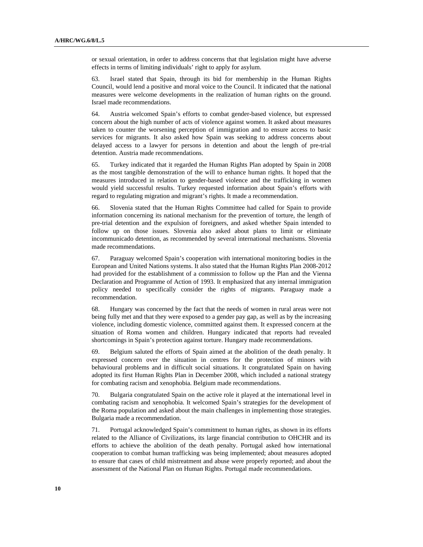or sexual orientation, in order to address concerns that that legislation might have adverse effects in terms of limiting individuals' right to apply for asylum.

63. Israel stated that Spain, through its bid for membership in the Human Rights Council, would lend a positive and moral voice to the Council. It indicated that the national measures were welcome developments in the realization of human rights on the ground. Israel made recommendations.

64. Austria welcomed Spain's efforts to combat gender-based violence, but expressed concern about the high number of acts of violence against women. It asked about measures taken to counter the worsening perception of immigration and to ensure access to basic services for migrants. It also asked how Spain was seeking to address concerns about delayed access to a lawyer for persons in detention and about the length of pre-trial detention. Austria made recommendations.

65. Turkey indicated that it regarded the Human Rights Plan adopted by Spain in 2008 as the most tangible demonstration of the will to enhance human rights. It hoped that the measures introduced in relation to gender-based violence and the trafficking in women would yield successful results. Turkey requested information about Spain's efforts with regard to regulating migration and migrant's rights. It made a recommendation.

66. Slovenia stated that the Human Rights Committee had called for Spain to provide information concerning its national mechanism for the prevention of torture, the length of pre-trial detention and the expulsion of foreigners, and asked whether Spain intended to follow up on those issues. Slovenia also asked about plans to limit or eliminate incommunicado detention, as recommended by several international mechanisms. Slovenia made recommendations.

67. Paraguay welcomed Spain's cooperation with international monitoring bodies in the European and United Nations systems. It also stated that the Human Rights Plan 2008-2012 had provided for the establishment of a commission to follow up the Plan and the Vienna Declaration and Programme of Action of 1993. It emphasized that any internal immigration policy needed to specifically consider the rights of migrants. Paraguay made a recommendation.

68. Hungary was concerned by the fact that the needs of women in rural areas were not being fully met and that they were exposed to a gender pay gap, as well as by the increasing violence, including domestic violence, committed against them. It expressed concern at the situation of Roma women and children. Hungary indicated that reports had revealed shortcomings in Spain's protection against torture. Hungary made recommendations.

69. Belgium saluted the efforts of Spain aimed at the abolition of the death penalty. It expressed concern over the situation in centres for the protection of minors with behavioural problems and in difficult social situations. It congratulated Spain on having adopted its first Human Rights Plan in December 2008, which included a national strategy for combating racism and xenophobia. Belgium made recommendations.

70. Bulgaria congratulated Spain on the active role it played at the international level in combating racism and xenophobia. It welcomed Spain's strategies for the development of the Roma population and asked about the main challenges in implementing those strategies. Bulgaria made a recommendation.

71. Portugal acknowledged Spain's commitment to human rights, as shown in its efforts related to the Alliance of Civilizations, its large financial contribution to OHCHR and its efforts to achieve the abolition of the death penalty. Portugal asked how international cooperation to combat human trafficking was being implemented; about measures adopted to ensure that cases of child mistreatment and abuse were properly reported; and about the assessment of the National Plan on Human Rights. Portugal made recommendations.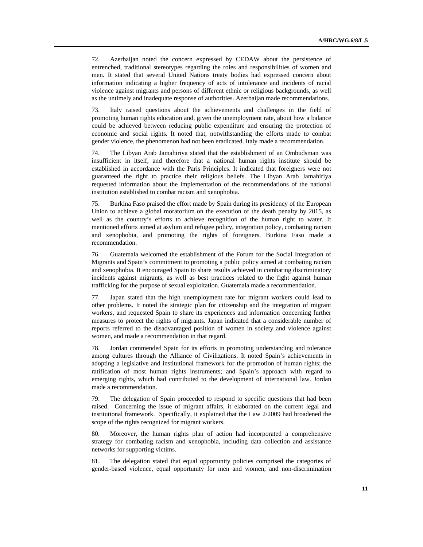72. Azerbaijan noted the concern expressed by CEDAW about the persistence of entrenched, traditional stereotypes regarding the roles and responsibilities of women and men. It stated that several United Nations treaty bodies had expressed concern about information indicating a higher frequency of acts of intolerance and incidents of racial violence against migrants and persons of different ethnic or religious backgrounds, as well as the untimely and inadequate response of authorities. Azerbaijan made recommendations.

73. Italy raised questions about the achievements and challenges in the field of promoting human rights education and, given the unemployment rate, about how a balance could be achieved between reducing public expenditure and ensuring the protection of economic and social rights. It noted that, notwithstanding the efforts made to combat gender violence, the phenomenon had not been eradicated. Italy made a recommendation.

74. The Libyan Arab Jamahiriya stated that the establishment of an Ombudsman was insufficient in itself, and therefore that a national human rights institute should be established in accordance with the Paris Principles. It indicated that foreigners were not guaranteed the right to practice their religious beliefs. The Libyan Arab Jamahiriya requested information about the implementation of the recommendations of the national institution established to combat racism and xenophobia.

75. Burkina Faso praised the effort made by Spain during its presidency of the European Union to achieve a global moratorium on the execution of the death penalty by 2015, as well as the country's efforts to achieve recognition of the human right to water. It mentioned efforts aimed at asylum and refugee policy, integration policy, combating racism and xenophobia, and promoting the rights of foreigners. Burkina Faso made a recommendation.

76. Guatemala welcomed the establishment of the Forum for the Social Integration of Migrants and Spain's commitment to promoting a public policy aimed at combating racism and xenophobia. It encouraged Spain to share results achieved in combating discriminatory incidents against migrants, as well as best practices related to the fight against human trafficking for the purpose of sexual exploitation. Guatemala made a recommendation.

77. Japan stated that the high unemployment rate for migrant workers could lead to other problems. It noted the strategic plan for citizenship and the integration of migrant workers, and requested Spain to share its experiences and information concerning further measures to protect the rights of migrants. Japan indicated that a considerable number of reports referred to the disadvantaged position of women in society and violence against women, and made a recommendation in that regard.

78. Jordan commended Spain for its efforts in promoting understanding and tolerance among cultures through the Alliance of Civilizations. It noted Spain's achievements in adopting a legislative and institutional framework for the promotion of human rights; the ratification of most human rights instruments; and Spain's approach with regard to emerging rights, which had contributed to the development of international law. Jordan made a recommendation.

79. The delegation of Spain proceeded to respond to specific questions that had been raised. Concerning the issue of migrant affairs, it elaborated on the current legal and institutional framework. Specifically, it explained that the Law 2/2009 had broadened the scope of the rights recognized for migrant workers.

80. Moreover, the human rights plan of action had incorporated a comprehensive strategy for combating racism and xenophobia, including data collection and assistance networks for supporting victims.

81. The delegation stated that equal opportunity policies comprised the categories of gender-based violence, equal opportunity for men and women, and non-discrimination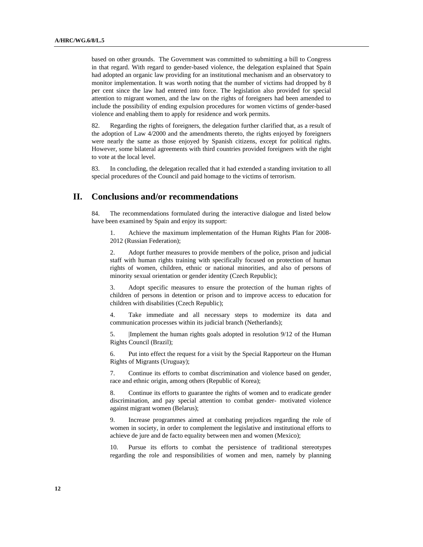based on other grounds. The Government was committed to submitting a bill to Congress in that regard. With regard to gender-based violence, the delegation explained that Spain had adopted an organic law providing for an institutional mechanism and an observatory to monitor implementation. It was worth noting that the number of victims had dropped by 8 per cent since the law had entered into force. The legislation also provided for special attention to migrant women, and the law on the rights of foreigners had been amended to include the possibility of ending expulsion procedures for women victims of gender-based violence and enabling them to apply for residence and work permits.

82. Regarding the rights of foreigners, the delegation further clarified that, as a result of the adoption of Law 4/2000 and the amendments thereto, the rights enjoyed by foreigners were nearly the same as those enjoyed by Spanish citizens, except for political rights. However, some bilateral agreements with third countries provided foreigners with the right to vote at the local level.

83. In concluding, the delegation recalled that it had extended a standing invitation to all special procedures of the Council and paid homage to the victims of terrorism.

### **II. Conclusions and/or recommendations**

84. The recommendations formulated during the interactive dialogue and listed below have been examined by Spain and enjoy its support:

1. Achieve the maximum implementation of the Human Rights Plan for 2008- 2012 (Russian Federation);

2. Adopt further measures to provide members of the police, prison and judicial staff with human rights training with specifically focused on protection of human rights of women, children, ethnic or national minorities, and also of persons of minority sexual orientation or gender identity (Czech Republic);

Adopt specific measures to ensure the protection of the human rights of children of persons in detention or prison and to improve access to education for children with disabilities (Czech Republic);

4. Take immediate and all necessary steps to modernize its data and communication processes within its judicial branch (Netherlands);

5. |Implement the human rights goals adopted in resolution 9/12 of the Human Rights Council (Brazil);

6. Put into effect the request for a visit by the Special Rapporteur on the Human Rights of Migrants (Uruguay);

7. Continue its efforts to combat discrimination and violence based on gender, race and ethnic origin, among others (Republic of Korea);

8. Continue its efforts to guarantee the rights of women and to eradicate gender discrimination, and pay special attention to combat gender- motivated violence against migrant women (Belarus);

9. Increase programmes aimed at combating prejudices regarding the role of women in society, in order to complement the legislative and institutional efforts to achieve de jure and de facto equality between men and women (Mexico);

10. Pursue its efforts to combat the persistence of traditional stereotypes regarding the role and responsibilities of women and men, namely by planning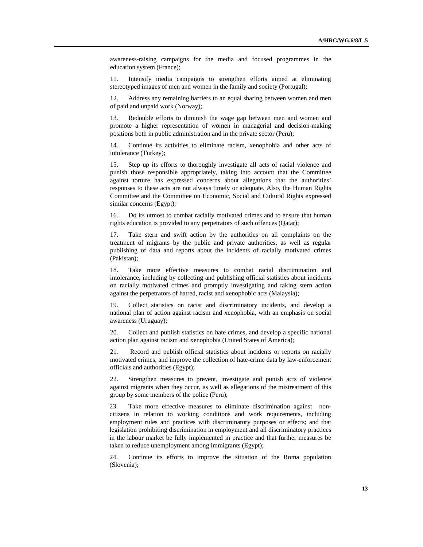awareness-raising campaigns for the media and focused programmes in the education system (France);

11. Intensify media campaigns to strengthen efforts aimed at eliminating stereotyped images of men and women in the family and society (Portugal);

12. Address any remaining barriers to an equal sharing between women and men of paid and unpaid work (Norway);

13. Redouble efforts to diminish the wage gap between men and women and promote a higher representation of women in managerial and decision-making positions both in public administration and in the private sector (Peru);

14. Continue its activities to eliminate racism, xenophobia and other acts of intolerance (Turkey);

15. Step up its efforts to thoroughly investigate all acts of racial violence and punish those responsible appropriately, taking into account that the Committee against torture has expressed concerns about allegations that the authorities' responses to these acts are not always timely or adequate. Also, the Human Rights Committee and the Committee on Economic, Social and Cultural Rights expressed similar concerns (Egypt);

16. Do its utmost to combat racially motivated crimes and to ensure that human rights education is provided to any perpetrators of such offences (Qatar);

17. Take stern and swift action by the authorities on all complaints on the treatment of migrants by the public and private authorities, as well as regular publishing of data and reports about the incidents of racially motivated crimes (Pakistan);

18. Take more effective measures to combat racial discrimination and intolerance, including by collecting and publishing official statistics about incidents on racially motivated crimes and promptly investigating and taking stern action against the perpetrators of hatred, racist and xenophobic acts (Malaysia);

19. Collect statistics on racist and discriminatory incidents, and develop a national plan of action against racism and xenophobia, with an emphasis on social awareness (Uruguay);

20. Collect and publish statistics on hate crimes, and develop a specific national action plan against racism and xenophobia (United States of America);

21. Record and publish official statistics about incidents or reports on racially motivated crimes, and improve the collection of hate-crime data by law-enforcement officials and authorities (Egypt);

22. Strengthen measures to prevent, investigate and punish acts of violence against migrants when they occur, as well as allegations of the mistreatment of this group by some members of the police (Peru);

23. Take more effective measures to eliminate discrimination against noncitizens in relation to working conditions and work requirements, including employment rules and practices with discriminatory purposes or effects; and that legislation prohibiting discrimination in employment and all discriminatory practices in the labour market be fully implemented in practice and that further measures be taken to reduce unemployment among immigrants (Egypt);

24. Continue its efforts to improve the situation of the Roma population (Slovenia);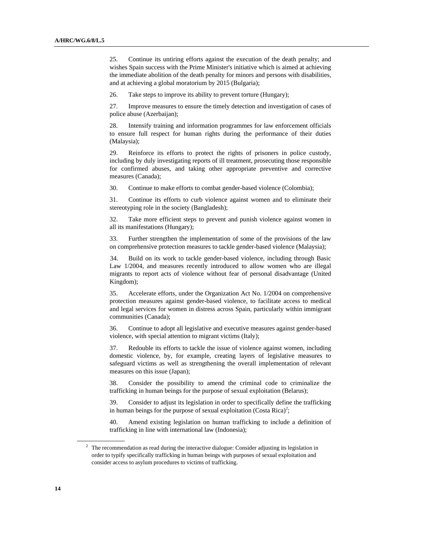25. Continue its untiring efforts against the execution of the death penalty; and wishes Spain success with the Prime Minister's initiative which is aimed at achieving the immediate abolition of the death penalty for minors and persons with disabilities, and at achieving a global moratorium by 2015 (Bulgaria);

26. Take steps to improve its ability to prevent torture (Hungary);

27. Improve measures to ensure the timely detection and investigation of cases of police abuse (Azerbaijan);

28. Intensify training and information programmes for law enforcement officials to ensure full respect for human rights during the performance of their duties (Malaysia);

29. Reinforce its efforts to protect the rights of prisoners in police custody, including by duly investigating reports of ill treatment, prosecuting those responsible for confirmed abuses, and taking other appropriate preventive and corrective measures (Canada);

30. Continue to make efforts to combat gender-based violence (Colombia);

31. Continue its efforts to curb violence against women and to eliminate their stereotyping role in the society (Bangladesh);

32. Take more efficient steps to prevent and punish violence against women in all its manifestations (Hungary);

33. Further strengthen the implementation of some of the provisions of the law on comprehensive protection measures to tackle gender-based violence (Malaysia);

34. Build on its work to tackle gender-based violence, including through Basic Law 1/2004, and measures recently introduced to allow women who are illegal migrants to report acts of violence without fear of personal disadvantage (United Kingdom);

35. Accelerate efforts, under the Organization Act No. 1/2004 on comprehensive protection measures against gender-based violence, to facilitate access to medical and legal services for women in distress across Spain, particularly within immigrant communities (Canada);

36. Continue to adopt all legislative and executive measures against gender-based violence, with special attention to migrant victims (Italy);

37. Redouble its efforts to tackle the issue of violence against women, including domestic violence, by, for example, creating layers of legislative measures to safeguard victims as well as strengthening the overall implementation of relevant measures on this issue (Japan);

38. Consider the possibility to amend the criminal code to criminalize the trafficking in human beings for the purpose of sexual exploitation (Belarus);

39. Consider to adjust its legislation in order to specifically define the trafficking in human beings for the purpose of sexual exploitation (Costa Rica)<sup>2</sup>;

40. Amend existing legislation on human trafficking to include a definition of trafficking in line with international law (Indonesia);

 $2\degree$  The recommendation as read during the interactive dialogue: Consider adjusting its legislation in order to typify specifically trafficking in human beings with purposes of sexual exploitation and consider access to asylum procedures to victims of trafficking.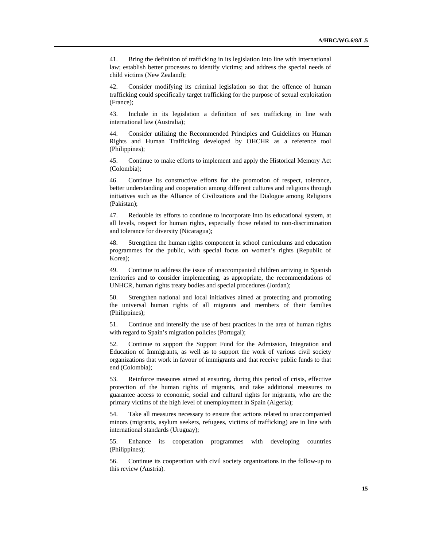41. Bring the definition of trafficking in its legislation into line with international law; establish better processes to identify victims; and address the special needs of child victims (New Zealand);

Consider modifying its criminal legislation so that the offence of human trafficking could specifically target trafficking for the purpose of sexual exploitation (France);

43. Include in its legislation a definition of sex trafficking in line with international law (Australia);

44. Consider utilizing the Recommended Principles and Guidelines on Human Rights and Human Trafficking developed by OHCHR as a reference tool (Philippines);

45. Continue to make efforts to implement and apply the Historical Memory Act (Colombia);

46. Continue its constructive efforts for the promotion of respect, tolerance, better understanding and cooperation among different cultures and religions through initiatives such as the Alliance of Civilizations and the Dialogue among Religions (Pakistan);

47. Redouble its efforts to continue to incorporate into its educational system, at all levels, respect for human rights, especially those related to non-discrimination and tolerance for diversity (Nicaragua);

48. Strengthen the human rights component in school curriculums and education programmes for the public, with special focus on women's rights (Republic of Korea);

49. Continue to address the issue of unaccompanied children arriving in Spanish territories and to consider implementing, as appropriate, the recommendations of UNHCR, human rights treaty bodies and special procedures (Jordan);

50. Strengthen national and local initiatives aimed at protecting and promoting the universal human rights of all migrants and members of their families (Philippines);

51. Continue and intensify the use of best practices in the area of human rights with regard to Spain's migration policies (Portugal);

52. Continue to support the Support Fund for the Admission, Integration and Education of Immigrants, as well as to support the work of various civil society organizations that work in favour of immigrants and that receive public funds to that end (Colombia);

53. Reinforce measures aimed at ensuring, during this period of crisis, effective protection of the human rights of migrants, and take additional measures to guarantee access to economic, social and cultural rights for migrants, who are the primary victims of the high level of unemployment in Spain (Algeria);

54. Take all measures necessary to ensure that actions related to unaccompanied minors (migrants, asylum seekers, refugees, victims of trafficking) are in line with international standards (Uruguay);

55. Enhance its cooperation programmes with developing countries (Philippines);

56. Continue its cooperation with civil society organizations in the follow-up to this review (Austria).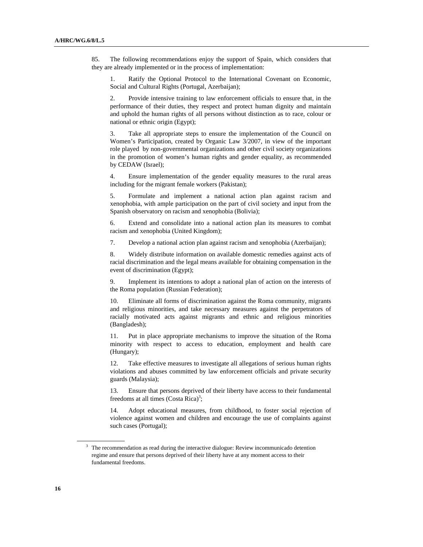85. The following recommendations enjoy the support of Spain, which considers that they are already implemented or in the process of implementation:

1. Ratify the Optional Protocol to the International Covenant on Economic, Social and Cultural Rights (Portugal, Azerbaijan);

2. Provide intensive training to law enforcement officials to ensure that, in the performance of their duties, they respect and protect human dignity and maintain and uphold the human rights of all persons without distinction as to race, colour or national or ethnic origin (Egypt);

3. Take all appropriate steps to ensure the implementation of the Council on Women's Participation, created by Organic Law 3/2007, in view of the important role played by non-governmental organizations and other civil society organizations in the promotion of women's human rights and gender equality, as recommended by CEDAW (Israel);

4. Ensure implementation of the gender equality measures to the rural areas including for the migrant female workers (Pakistan);

5. Formulate and implement a national action plan against racism and xenophobia, with ample participation on the part of civil society and input from the Spanish observatory on racism and xenophobia (Bolivia);

6. Extend and consolidate into a national action plan its measures to combat racism and xenophobia (United Kingdom);

7. Develop a national action plan against racism and xenophobia (Azerbaijan);

8. Widely distribute information on available domestic remedies against acts of racial discrimination and the legal means available for obtaining compensation in the event of discrimination (Egypt);

9. Implement its intentions to adopt a national plan of action on the interests of the Roma population (Russian Federation);

10. Eliminate all forms of discrimination against the Roma community, migrants and religious minorities, and take necessary measures against the perpetrators of racially motivated acts against migrants and ethnic and religious minorities (Bangladesh);

11. Put in place appropriate mechanisms to improve the situation of the Roma minority with respect to access to education, employment and health care (Hungary);

12. Take effective measures to investigate all allegations of serious human rights violations and abuses committed by law enforcement officials and private security guards (Malaysia);

13. Ensure that persons deprived of their liberty have access to their fundamental freedoms at all times  $(Costa Rica)<sup>3</sup>$ ;

14. Adopt educational measures, from childhood, to foster social rejection of violence against women and children and encourage the use of complaints against such cases (Portugal);

 $3$  The recommendation as read during the interactive dialogue: Review incommunicado detention regime and ensure that persons deprived of their liberty have at any moment access to their fundamental freedoms.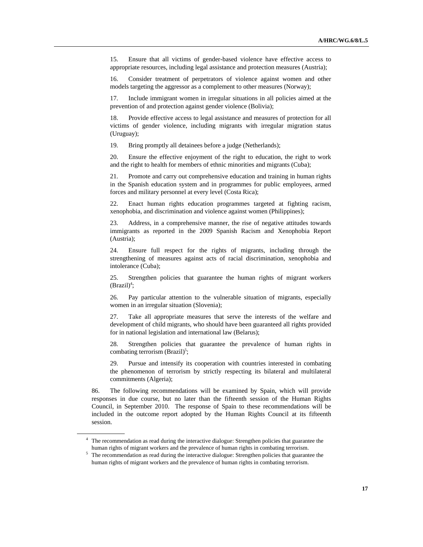15. Ensure that all victims of gender-based violence have effective access to appropriate resources, including legal assistance and protection measures (Austria);

16. Consider treatment of perpetrators of violence against women and other models targeting the aggressor as a complement to other measures (Norway);

17. Include immigrant women in irregular situations in all policies aimed at the prevention of and protection against gender violence (Bolivia);

18. Provide effective access to legal assistance and measures of protection for all victims of gender violence, including migrants with irregular migration status (Uruguay);

19. Bring promptly all detainees before a judge (Netherlands);

20. Ensure the effective enjoyment of the right to education, the right to work and the right to health for members of ethnic minorities and migrants (Cuba);

21. Promote and carry out comprehensive education and training in human rights in the Spanish education system and in programmes for public employees, armed forces and military personnel at every level (Costa Rica);

22. Enact human rights education programmes targeted at fighting racism, xenophobia, and discrimination and violence against women (Philippines);

23. Address, in a comprehensive manner, the rise of negative attitudes towards immigrants as reported in the 2009 Spanish Racism and Xenophobia Report (Austria);

24. Ensure full respect for the rights of migrants, including through the strengthening of measures against acts of racial discrimination, xenophobia and intolerance (Cuba);

25. Strengthen policies that guarantee the human rights of migrant workers  $(Brazil)^4$ ;

26. Pay particular attention to the vulnerable situation of migrants, especially women in an irregular situation (Slovenia);

27. Take all appropriate measures that serve the interests of the welfare and development of child migrants, who should have been guaranteed all rights provided for in national legislation and international law (Belarus);

28. Strengthen policies that guarantee the prevalence of human rights in combating terrorism  $(Brazil)^5$ ;

29. Pursue and intensify its cooperation with countries interested in combating the phenomenon of terrorism by strictly respecting its bilateral and multilateral commitments (Algeria);

86. The following recommendations will be examined by Spain, which will provide responses in due course, but no later than the fifteenth session of the Human Rights Council, in September 2010. The response of Spain to these recommendations will be included in the outcome report adopted by the Human Rights Council at its fifteenth session.

<sup>&</sup>lt;sup>4</sup> The recommendation as read during the interactive dialogue: Strengthen policies that guarantee the human rights of migrant workers and the prevalence of human rights in combating terrorism.

 $5$  The recommendation as read during the interactive dialogue: Strengthen policies that guarantee the human rights of migrant workers and the prevalence of human rights in combating terrorism.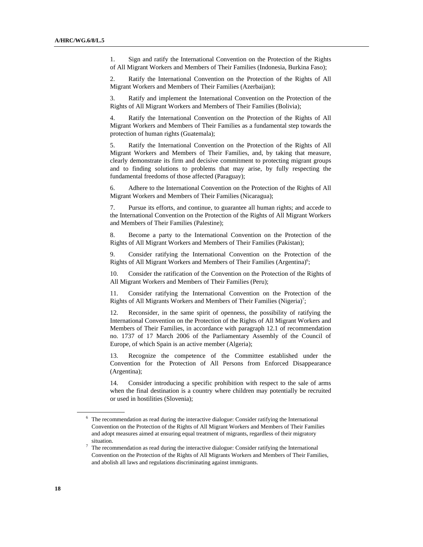1. Sign and ratify the International Convention on the Protection of the Rights of All Migrant Workers and Members of Their Families (Indonesia, Burkina Faso);

2. Ratify the International Convention on the Protection of the Rights of All Migrant Workers and Members of Their Families (Azerbaijan);

3. Ratify and implement the International Convention on the Protection of the Rights of All Migrant Workers and Members of Their Families (Bolivia);

4. Ratify the International Convention on the Protection of the Rights of All Migrant Workers and Members of Their Families as a fundamental step towards the protection of human rights (Guatemala);

5. Ratify the International Convention on the Protection of the Rights of All Migrant Workers and Members of Their Families, and, by taking that measure, clearly demonstrate its firm and decisive commitment to protecting migrant groups and to finding solutions to problems that may arise, by fully respecting the fundamental freedoms of those affected (Paraguay);

6. Adhere to the International Convention on the Protection of the Rights of All Migrant Workers and Members of Their Families (Nicaragua);

7. Pursue its efforts, and continue, to guarantee all human rights; and accede to the International Convention on the Protection of the Rights of All Migrant Workers and Members of Their Families (Palestine);

8. Become a party to the International Convention on the Protection of the Rights of All Migrant Workers and Members of Their Families (Pakistan);

9. Consider ratifying the International Convention on the Protection of the Rights of All Migrant Workers and Members of Their Families (Argentina)<sup>6</sup>;

10. Consider the ratification of the Convention on the Protection of the Rights of All Migrant Workers and Members of Their Families (Peru);

11. Consider ratifying the International Convention on the Protection of the Rights of All Migrants Workers and Members of Their Families (Nigeria)<sup>7</sup>;

12. Reconsider, in the same spirit of openness, the possibility of ratifying the International Convention on the Protection of the Rights of All Migrant Workers and Members of Their Families, in accordance with paragraph 12.1 of recommendation no. 1737 of 17 March 2006 of the Parliamentary Assembly of the Council of Europe, of which Spain is an active member (Algeria);

13. Recognize the competence of the Committee established under the Convention for the Protection of All Persons from Enforced Disappearance (Argentina);

14. Consider introducing a specific prohibition with respect to the sale of arms when the final destination is a country where children may potentially be recruited or used in hostilities (Slovenia);

 $6$  The recommendation as read during the interactive dialogue: Consider ratifying the International Convention on the Protection of the Rights of All Migrant Workers and Members of Their Families and adopt measures aimed at ensuring equal treatment of migrants, regardless of their migratory situation.

The recommendation as read during the interactive dialogue: Consider ratifying the International Convention on the Protection of the Rights of All Migrants Workers and Members of Their Families, and abolish all laws and regulations discriminating against immigrants.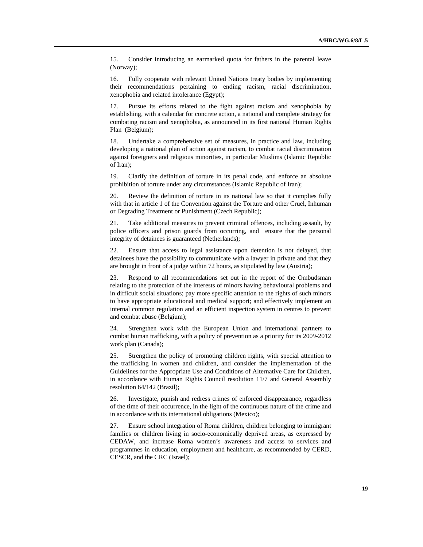15. Consider introducing an earmarked quota for fathers in the parental leave (Norway);

16. Fully cooperate with relevant United Nations treaty bodies by implementing their recommendations pertaining to ending racism, racial discrimination, xenophobia and related intolerance (Egypt);

17. Pursue its efforts related to the fight against racism and xenophobia by establishing, with a calendar for concrete action, a national and complete strategy for combating racism and xenophobia, as announced in its first national Human Rights Plan (Belgium);

18. Undertake a comprehensive set of measures, in practice and law, including developing a national plan of action against racism, to combat racial discrimination against foreigners and religious minorities, in particular Muslims (Islamic Republic of Iran);

19. Clarify the definition of torture in its penal code, and enforce an absolute prohibition of torture under any circumstances (Islamic Republic of Iran);

20. Review the definition of torture in its national law so that it complies fully with that in article 1 of the Convention against the Torture and other Cruel, Inhuman or Degrading Treatment or Punishment (Czech Republic);

21. Take additional measures to prevent criminal offences, including assault, by police officers and prison guards from occurring, and ensure that the personal integrity of detainees is guaranteed (Netherlands);

22. Ensure that access to legal assistance upon detention is not delayed, that detainees have the possibility to communicate with a lawyer in private and that they are brought in front of a judge within 72 hours, as stipulated by law (Austria);

23. Respond to all recommendations set out in the report of the Ombudsman relating to the protection of the interests of minors having behavioural problems and in difficult social situations; pay more specific attention to the rights of such minors to have appropriate educational and medical support; and effectively implement an internal common regulation and an efficient inspection system in centres to prevent and combat abuse (Belgium);

24. Strengthen work with the European Union and international partners to combat human trafficking, with a policy of prevention as a priority for its 2009-2012 work plan (Canada);

25. Strengthen the policy of promoting children rights, with special attention to the trafficking in women and children, and consider the implementation of the Guidelines for the Appropriate Use and Conditions of Alternative Care for Children, in accordance with Human Rights Council resolution 11/7 and General Assembly resolution 64/142 (Brazil);

26. Investigate, punish and redress crimes of enforced disappearance, regardless of the time of their occurrence, in the light of the continuous nature of the crime and in accordance with its international obligations (Mexico);

27. Ensure school integration of Roma children, children belonging to immigrant families or children living in socio-economically deprived areas, as expressed by CEDAW, and increase Roma women's awareness and access to services and programmes in education, employment and healthcare, as recommended by CERD, CESCR, and the CRC (Israel);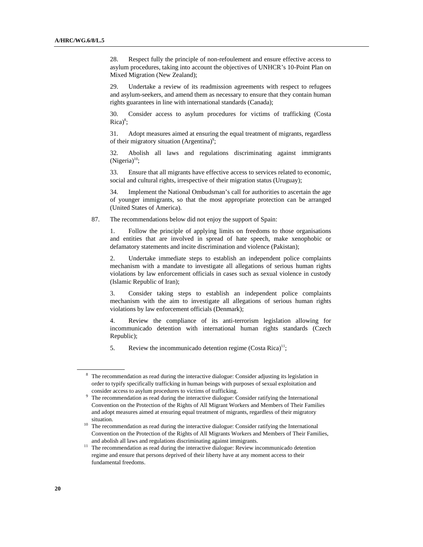28. Respect fully the principle of non-refoulement and ensure effective access to asylum procedures, taking into account the objectives of UNHCR's 10-Point Plan on Mixed Migration (New Zealand);

29. Undertake a review of its readmission agreements with respect to refugees and asylum-seekers, and amend them as necessary to ensure that they contain human rights guarantees in line with international standards (Canada);

30. Consider access to asylum procedures for victims of trafficking (Costa  $Rica)^8$ ;

31. Adopt measures aimed at ensuring the equal treatment of migrants, regardless of their migratory situation (Argentina)<sup>9</sup>;

32. Abolish all laws and regulations discriminating against immigrants  $(Nigeria)^{10}$ ;

33. Ensure that all migrants have effective access to services related to economic, social and cultural rights, irrespective of their migration status (Uruguay);

34. Implement the National Ombudsman's call for authorities to ascertain the age of younger immigrants, so that the most appropriate protection can be arranged (United States of America).

87. The recommendations below did not enjoy the support of Spain:

1. Follow the principle of applying limits on freedoms to those organisations and entities that are involved in spread of hate speech, make xenophobic or defamatory statements and incite discrimination and violence (Pakistan);

2. Undertake immediate steps to establish an independent police complaints mechanism with a mandate to investigate all allegations of serious human rights violations by law enforcement officials in cases such as sexual violence in custody (Islamic Republic of Iran);

3. Consider taking steps to establish an independent police complaints mechanism with the aim to investigate all allegations of serious human rights violations by law enforcement officials (Denmark);

4. Review the compliance of its anti-terrorism legislation allowing for incommunicado detention with international human rights standards (Czech Republic);

5. Review the incommunicado detention regime  $(Costa Rica)^{11}$ ;

<sup>&</sup>lt;sup>8</sup> The recommendation as read during the interactive dialogue: Consider adjusting its legislation in order to typify specifically trafficking in human beings with purposes of sexual exploitation and consider access to asylum procedures to victims of trafficking.

 $9$  The recommendation as read during the interactive dialogue: Consider ratifying the International Convention on the Protection of the Rights of All Migrant Workers and Members of Their Families and adopt measures aimed at ensuring equal treatment of migrants, regardless of their migratory

situation.<br><sup>10</sup> The recommendation as read during the interactive dialogue: Consider ratifying the International Convention on the Protection of the Rights of All Migrants Workers and Members of Their Families, and abolish all laws and regulations discriminating against immigrants.<br><sup>11</sup> The recommendation as read during the interactive dialogue: Review incommunicado detention

regime and ensure that persons deprived of their liberty have at any moment access to their fundamental freedoms.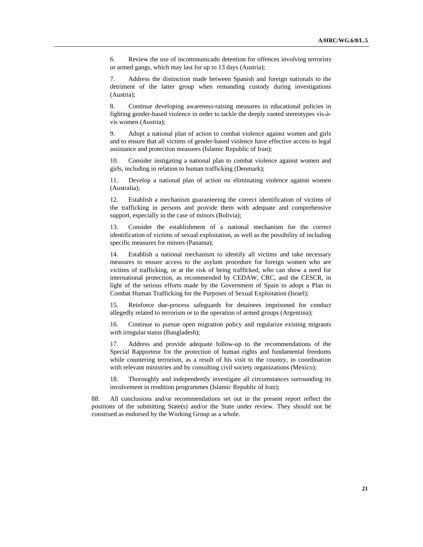6. Review the use of incommunicado detention for offences involving terrorists or armed gangs, which may last for up to 13 days (Austria);

7. Address the distinction made between Spanish and foreign nationals to the detriment of the latter group when remanding custody during investigations (Austria);

8. Continue developing awareness-raising measures in educational policies in fighting gender-based violence in order to tackle the deeply rooted stereotypes vis-àvis women (Austria);

9. Adopt a national plan of action to combat violence against women and girls and to ensure that all victims of gender-based violence have effective access to legal assistance and protection measures (Islamic Republic of Iran);

10. Consider instigating a national plan to combat violence against women and girls, including in relation to human trafficking (Denmark);

11. Develop a national plan of action on eliminating violence against women (Australia);

12. Establish a mechanism guaranteeing the correct identification of victims of the trafficking in persons and provide them with adequate and comprehensive support, especially in the case of minors (Bolivia);

13. Consider the establishment of a national mechanism for the correct identification of victims of sexual exploitation, as well as the possibility of including specific measures for minors (Panama);

14. Establish a national mechanism to identify all victims and take necessary measures to ensure access to the asylum procedure for foreign women who are victims of trafficking, or at the risk of being trafficked, who can show a need for international protection, as recommended by CEDAW, CRC, and the CESCR, in light of the serious efforts made by the Government of Spain to adopt a Plan to Combat Human Trafficking for the Purposes of Sexual Exploitation (Israel);

15. Reinforce due-process safeguards for detainees imprisoned for conduct allegedly related to terrorism or to the operation of armed groups (Argentina);

16. Continue to pursue open migration policy and regularize existing migrants with irregular status (Bangladesh);

17. Address and provide adequate follow-up to the recommendations of the Special Rapporteur for the protection of human rights and fundamental freedoms while countering terrorism, as a result of his visit to the country, in coordination with relevant ministries and by consulting civil society organizations (Mexico);

18. Thoroughly and independently investigate all circumstances surrounding its involvement in rendition programmes (Islamic Republic of Iran);

88. All conclusions and/or recommendations set out in the present report reflect the positions of the submitting State(s) and/or the State under review. They should not be construed as endorsed by the Working Group as a whole.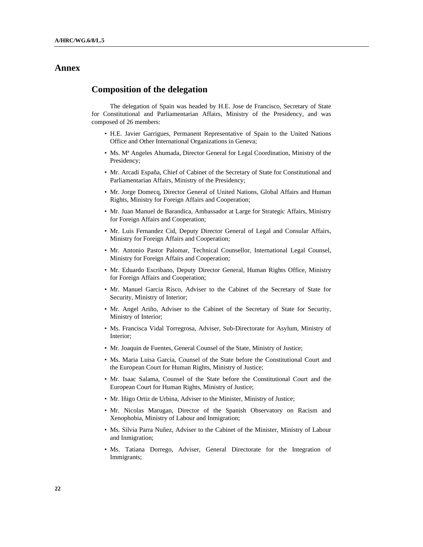# **Annex**

## **Composition of the delegation**

The delegation of Spain was headed by H.E. Jose de Francisco, Secretary of State for Constitutional and Parliamentarian Affairs, Ministry of the Presidency, and was composed of 26 members:

- H.E. Javier Garrigues, Permanent Representative of Spain to the United Nations Office and Other International Organizations in Geneva;
- Ms. Mª Angeles Ahumada, Director General for Legal Coordination, Ministry of the Presidency;
- Mr. Arcadi España, Chief of Cabinet of the Secretary of State for Constitutional and Parliamentarian Affairs, Ministry of the Presidency;
- Mr. Jorge Domecq, Director General of United Nations, Global Affairs and Human Rights, Ministry for Foreign Affairs and Cooperation;
- Mr. Juan Manuel de Barandica, Ambassador at Large for Strategic Affairs, Ministry for Foreign Affairs and Cooperation;
- Mr. Luis Fernandez Cid, Deputy Director General of Legal and Consular Affairs, Ministry for Foreign Affairs and Cooperation;
- Mr. Antonio Pastor Palomar, Technical Counsellor, International Legal Counsel, Ministry for Foreign Affairs and Cooperation;
- Mr. Eduardo Escribano, Deputy Director General, Human Rights Office, Ministry for Foreign Affairs and Cooperation;
- Mr. Manuel Garcia Risco, Adviser to the Cabinet of the Secretary of State for Security, Ministry of Interior;
- Mr. Angel Ariño, Adviser to the Cabinet of the Secretary of State for Security, Ministry of Interior;
- Ms. Francisca Vidal Torregrosa, Adviser, Sub-Directorate for Asylum, Ministry of Interior;
- Mr. Joaquin de Fuentes, General Counsel of the State, Ministry of Justice;
- Ms. Maria Luisa Garcia, Counsel of the State before the Constitutional Court and the European Court for Human Rights, Ministry of Justice;
- Mr. Isaac Salama, Counsel of the State before the Constitutional Court and the European Court for Human Rights, Ministry of Justice;
- Mr. Iñigo Ortiz de Urbina, Adviser to the Minister, Ministry of Justice;
- Mr. Nicolas Marugan, Director of the Spanish Observatory on Racism and Xenophobia, Ministry of Labour and Inmigration;
- Ms. Silvia Parra Nuñez, Adviser to the Cabinet of the Minister, Ministry of Labour and Inmigration;
- Ms. Tatiana Dorrego, Adviser, General Directorate for the Integration of Immigrants;